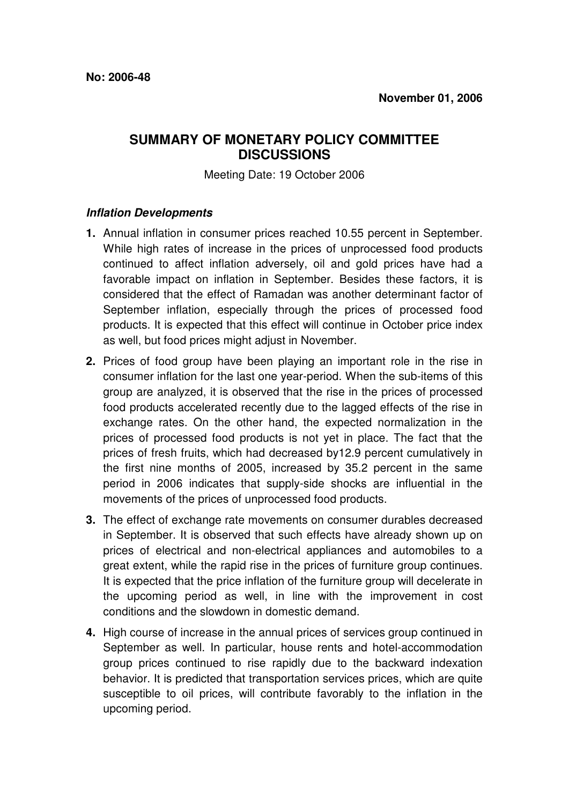## **SUMMARY OF MONETARY POLICY COMMITTEE DISCUSSIONS**

Meeting Date: 19 October 2006

## **Inflation Developments**

- **1.** Annual inflation in consumer prices reached 10.55 percent in September. While high rates of increase in the prices of unprocessed food products continued to affect inflation adversely, oil and gold prices have had a favorable impact on inflation in September. Besides these factors, it is considered that the effect of Ramadan was another determinant factor of September inflation, especially through the prices of processed food products. It is expected that this effect will continue in October price index as well, but food prices might adjust in November.
- **2.** Prices of food group have been playing an important role in the rise in consumer inflation for the last one year-period. When the sub-items of this group are analyzed, it is observed that the rise in the prices of processed food products accelerated recently due to the lagged effects of the rise in exchange rates. On the other hand, the expected normalization in the prices of processed food products is not yet in place. The fact that the prices of fresh fruits, which had decreased by12.9 percent cumulatively in the first nine months of 2005, increased by 35.2 percent in the same period in 2006 indicates that supply-side shocks are influential in the movements of the prices of unprocessed food products.
- **3.** The effect of exchange rate movements on consumer durables decreased in September. It is observed that such effects have already shown up on prices of electrical and non-electrical appliances and automobiles to a great extent, while the rapid rise in the prices of furniture group continues. It is expected that the price inflation of the furniture group will decelerate in the upcoming period as well, in line with the improvement in cost conditions and the slowdown in domestic demand.
- **4.** High course of increase in the annual prices of services group continued in September as well. In particular, house rents and hotel-accommodation group prices continued to rise rapidly due to the backward indexation behavior. It is predicted that transportation services prices, which are quite susceptible to oil prices, will contribute favorably to the inflation in the upcoming period.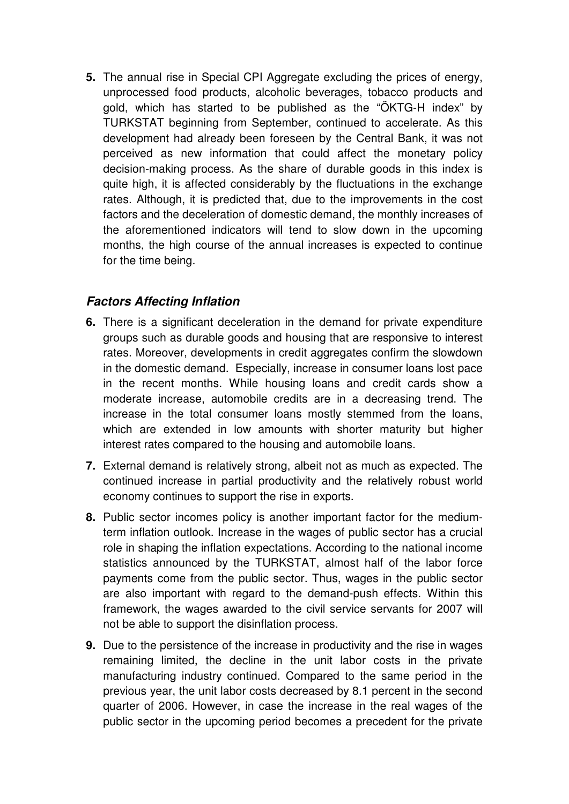**5.** The annual rise in Special CPI Aggregate excluding the prices of energy, unprocessed food products, alcoholic beverages, tobacco products and gold, which has started to be published as the "ÖKTG-H index" by TURKSTAT beginning from September, continued to accelerate. As this development had already been foreseen by the Central Bank, it was not perceived as new information that could affect the monetary policy decision-making process. As the share of durable goods in this index is quite high, it is affected considerably by the fluctuations in the exchange rates. Although, it is predicted that, due to the improvements in the cost factors and the deceleration of domestic demand, the monthly increases of the aforementioned indicators will tend to slow down in the upcoming months, the high course of the annual increases is expected to continue for the time being.

## **Factors Affecting Inflation**

- **6.** There is a significant deceleration in the demand for private expenditure groups such as durable goods and housing that are responsive to interest rates. Moreover, developments in credit aggregates confirm the slowdown in the domestic demand. Especially, increase in consumer loans lost pace in the recent months. While housing loans and credit cards show a moderate increase, automobile credits are in a decreasing trend. The increase in the total consumer loans mostly stemmed from the loans, which are extended in low amounts with shorter maturity but higher interest rates compared to the housing and automobile loans.
- **7.** External demand is relatively strong, albeit not as much as expected. The continued increase in partial productivity and the relatively robust world economy continues to support the rise in exports.
- **8.** Public sector incomes policy is another important factor for the mediumterm inflation outlook. Increase in the wages of public sector has a crucial role in shaping the inflation expectations. According to the national income statistics announced by the TURKSTAT, almost half of the labor force payments come from the public sector. Thus, wages in the public sector are also important with regard to the demand-push effects. Within this framework, the wages awarded to the civil service servants for 2007 will not be able to support the disinflation process.
- **9.** Due to the persistence of the increase in productivity and the rise in wages remaining limited, the decline in the unit labor costs in the private manufacturing industry continued. Compared to the same period in the previous year, the unit labor costs decreased by 8.1 percent in the second quarter of 2006. However, in case the increase in the real wages of the public sector in the upcoming period becomes a precedent for the private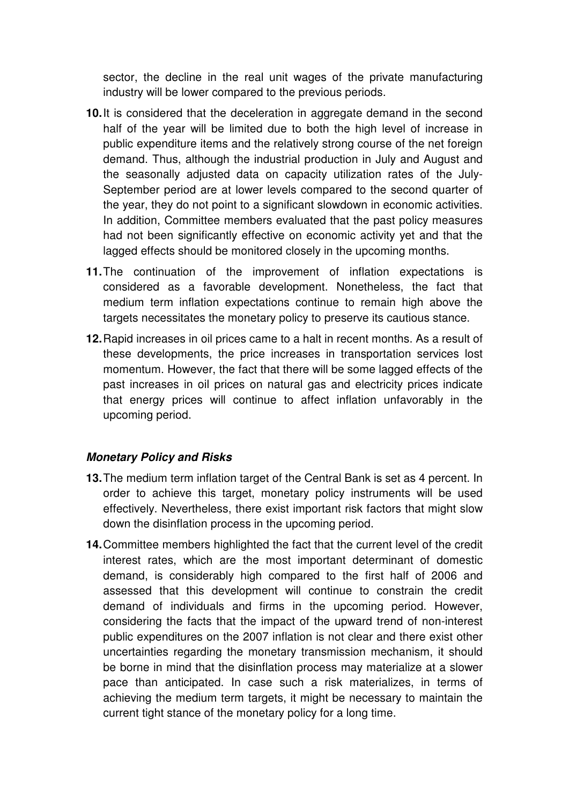sector, the decline in the real unit wages of the private manufacturing industry will be lower compared to the previous periods.

- **10.** It is considered that the deceleration in aggregate demand in the second half of the year will be limited due to both the high level of increase in public expenditure items and the relatively strong course of the net foreign demand. Thus, although the industrial production in July and August and the seasonally adjusted data on capacity utilization rates of the July-September period are at lower levels compared to the second quarter of the year, they do not point to a significant slowdown in economic activities. In addition, Committee members evaluated that the past policy measures had not been significantly effective on economic activity yet and that the lagged effects should be monitored closely in the upcoming months.
- **11.** The continuation of the improvement of inflation expectations is considered as a favorable development. Nonetheless, the fact that medium term inflation expectations continue to remain high above the targets necessitates the monetary policy to preserve its cautious stance.
- **12.** Rapid increases in oil prices came to a halt in recent months. As a result of these developments, the price increases in transportation services lost momentum. However, the fact that there will be some lagged effects of the past increases in oil prices on natural gas and electricity prices indicate that energy prices will continue to affect inflation unfavorably in the upcoming period.

## **Monetary Policy and Risks**

- **13.** The medium term inflation target of the Central Bank is set as 4 percent. In order to achieve this target, monetary policy instruments will be used effectively. Nevertheless, there exist important risk factors that might slow down the disinflation process in the upcoming period.
- **14.** Committee members highlighted the fact that the current level of the credit interest rates, which are the most important determinant of domestic demand, is considerably high compared to the first half of 2006 and assessed that this development will continue to constrain the credit demand of individuals and firms in the upcoming period. However, considering the facts that the impact of the upward trend of non-interest public expenditures on the 2007 inflation is not clear and there exist other uncertainties regarding the monetary transmission mechanism, it should be borne in mind that the disinflation process may materialize at a slower pace than anticipated. In case such a risk materializes, in terms of achieving the medium term targets, it might be necessary to maintain the current tight stance of the monetary policy for a long time.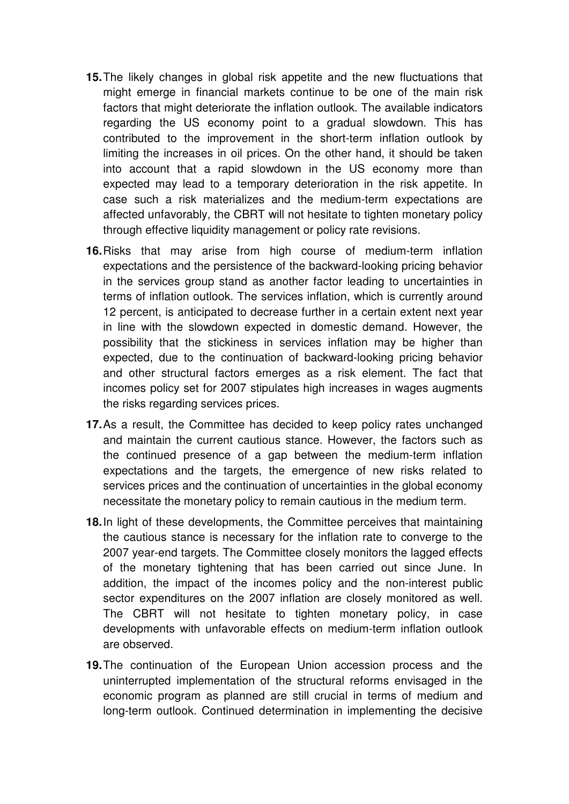- **15.** The likely changes in global risk appetite and the new fluctuations that might emerge in financial markets continue to be one of the main risk factors that might deteriorate the inflation outlook. The available indicators regarding the US economy point to a gradual slowdown. This has contributed to the improvement in the short-term inflation outlook by limiting the increases in oil prices. On the other hand, it should be taken into account that a rapid slowdown in the US economy more than expected may lead to a temporary deterioration in the risk appetite. In case such a risk materializes and the medium-term expectations are affected unfavorably, the CBRT will not hesitate to tighten monetary policy through effective liquidity management or policy rate revisions.
- **16.** Risks that may arise from high course of medium-term inflation expectations and the persistence of the backward-looking pricing behavior in the services group stand as another factor leading to uncertainties in terms of inflation outlook. The services inflation, which is currently around 12 percent, is anticipated to decrease further in a certain extent next year in line with the slowdown expected in domestic demand. However, the possibility that the stickiness in services inflation may be higher than expected, due to the continuation of backward-looking pricing behavior and other structural factors emerges as a risk element. The fact that incomes policy set for 2007 stipulates high increases in wages augments the risks regarding services prices.
- **17.** As a result, the Committee has decided to keep policy rates unchanged and maintain the current cautious stance. However, the factors such as the continued presence of a gap between the medium-term inflation expectations and the targets, the emergence of new risks related to services prices and the continuation of uncertainties in the global economy necessitate the monetary policy to remain cautious in the medium term.
- **18.** In light of these developments, the Committee perceives that maintaining the cautious stance is necessary for the inflation rate to converge to the 2007 year-end targets. The Committee closely monitors the lagged effects of the monetary tightening that has been carried out since June. In addition, the impact of the incomes policy and the non-interest public sector expenditures on the 2007 inflation are closely monitored as well. The CBRT will not hesitate to tighten monetary policy, in case developments with unfavorable effects on medium-term inflation outlook are observed.
- **19.** The continuation of the European Union accession process and the uninterrupted implementation of the structural reforms envisaged in the economic program as planned are still crucial in terms of medium and long-term outlook. Continued determination in implementing the decisive